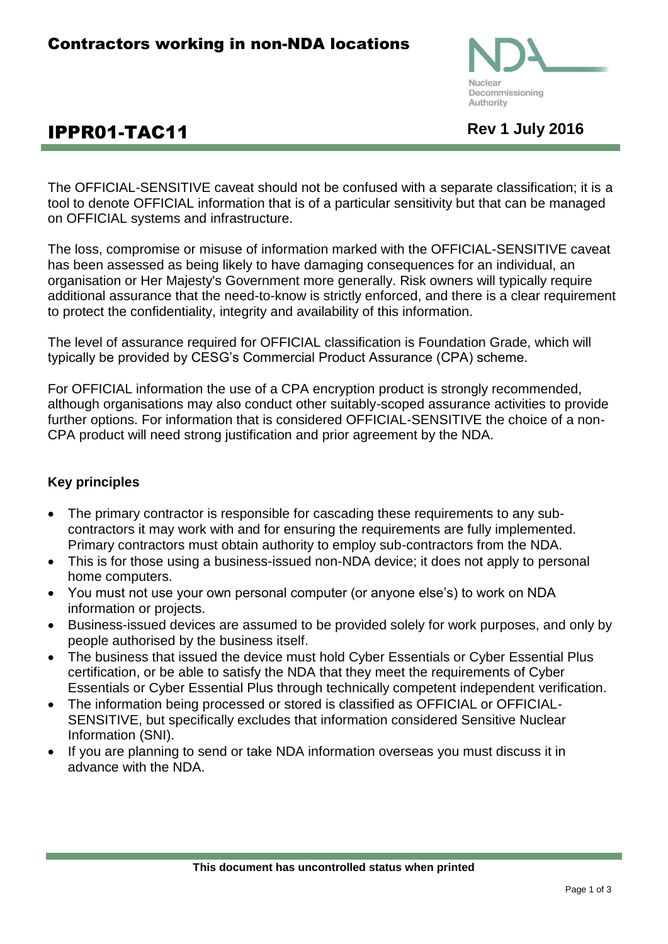

# **IPPR01-TAC11** Rev 1 July 2016

The OFFICIAL-SENSITIVE caveat should not be confused with a separate classification; it is a tool to denote OFFICIAL information that is of a particular sensitivity but that can be managed on OFFICIAL systems and infrastructure.

The loss, compromise or misuse of information marked with the OFFICIAL-SENSITIVE caveat has been assessed as being likely to have damaging consequences for an individual, an organisation or Her Majesty's Government more generally. Risk owners will typically require additional assurance that the need-to-know is strictly enforced, and there is a clear requirement to protect the confidentiality, integrity and availability of this information.

The level of assurance required for OFFICIAL classification is Foundation Grade, which will typically be provided by CESG's Commercial Product Assurance (CPA) scheme.

For OFFICIAL information the use of a CPA encryption product is strongly recommended, although organisations may also conduct other suitably-scoped assurance activities to provide further options. For information that is considered OFFICIAL-SENSITIVE the choice of a non-CPA product will need strong justification and prior agreement by the NDA.

## **Key principles**

- The primary contractor is responsible for cascading these requirements to any subcontractors it may work with and for ensuring the requirements are fully implemented. Primary contractors must obtain authority to employ sub-contractors from the NDA.
- This is for those using a business-issued non-NDA device; it does not apply to personal home computers.
- You must not use your own personal computer (or anyone else's) to work on NDA information or projects.
- Business-issued devices are assumed to be provided solely for work purposes, and only by people authorised by the business itself.
- The business that issued the device must hold Cyber Essentials or Cyber Essential Plus certification, or be able to satisfy the NDA that they meet the requirements of Cyber Essentials or Cyber Essential Plus through technically competent independent verification.
- The information being processed or stored is classified as OFFICIAL or OFFICIAL-SENSITIVE, but specifically excludes that information considered Sensitive Nuclear Information (SNI).
- If you are planning to send or take NDA information overseas you must discuss it in advance with the NDA.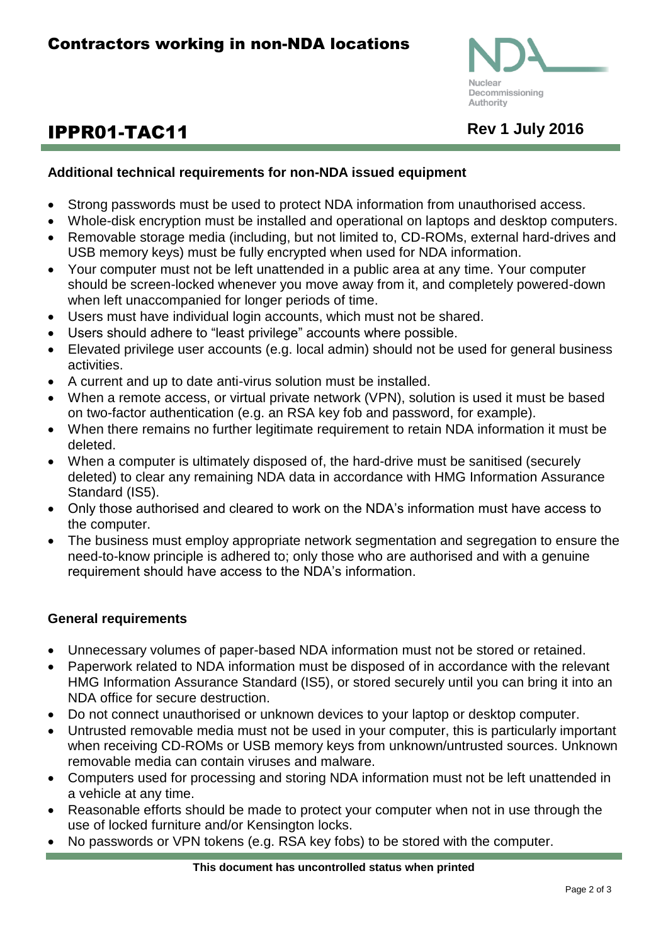

# **IPPR01-TAC11** Rev 1 July 2016

### **Additional technical requirements for non-NDA issued equipment**

- Strong passwords must be used to protect NDA information from unauthorised access.
- Whole-disk encryption must be installed and operational on laptops and desktop computers.
- Removable storage media (including, but not limited to, CD-ROMs, external hard-drives and USB memory keys) must be fully encrypted when used for NDA information.
- Your computer must not be left unattended in a public area at any time. Your computer should be screen-locked whenever you move away from it, and completely powered-down when left unaccompanied for longer periods of time.
- Users must have individual login accounts, which must not be shared.
- Users should adhere to "least privilege" accounts where possible.
- Elevated privilege user accounts (e.g. local admin) should not be used for general business activities.
- A current and up to date anti-virus solution must be installed.
- When a remote access, or virtual private network (VPN), solution is used it must be based on two-factor authentication (e.g. an RSA key fob and password, for example).
- When there remains no further legitimate requirement to retain NDA information it must be deleted.
- When a computer is ultimately disposed of, the hard-drive must be sanitised (securely deleted) to clear any remaining NDA data in accordance with HMG Information Assurance Standard (IS5).
- Only those authorised and cleared to work on the NDA's information must have access to the computer.
- The business must employ appropriate network segmentation and segregation to ensure the need-to-know principle is adhered to; only those who are authorised and with a genuine requirement should have access to the NDA's information.

#### **General requirements**

- Unnecessary volumes of paper-based NDA information must not be stored or retained.
- Paperwork related to NDA information must be disposed of in accordance with the relevant HMG Information Assurance Standard (IS5), or stored securely until you can bring it into an NDA office for secure destruction.
- Do not connect unauthorised or unknown devices to your laptop or desktop computer.
- Untrusted removable media must not be used in your computer, this is particularly important when receiving CD-ROMs or USB memory keys from unknown/untrusted sources. Unknown removable media can contain viruses and malware.
- Computers used for processing and storing NDA information must not be left unattended in a vehicle at any time.
- Reasonable efforts should be made to protect your computer when not in use through the use of locked furniture and/or Kensington locks.
- No passwords or VPN tokens (e.g. RSA key fobs) to be stored with the computer.